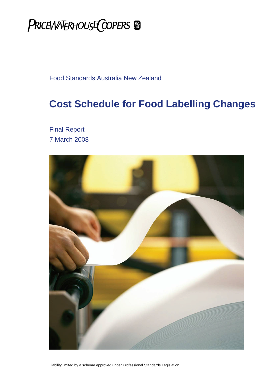# **PRICEWATERHOUSE COPERS**

Food Standards Australia New Zealand

# **Cost Schedule for Food Labelling Changes**

Final Report 7 March 2008



Liability limited by a scheme approved under Professional Standards Legislation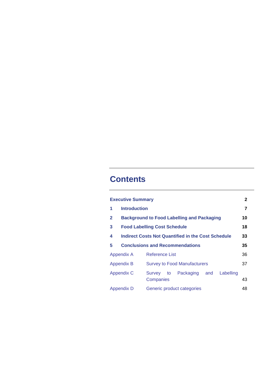# **Contents**

|              | <b>Executive Summary</b>                           |                                   |    |                                                   |     |           |    |  |
|--------------|----------------------------------------------------|-----------------------------------|----|---------------------------------------------------|-----|-----------|----|--|
| 1            | <b>Introduction</b>                                |                                   |    |                                                   |     |           | 7  |  |
| $\mathbf{2}$ |                                                    |                                   |    | <b>Background to Food Labelling and Packaging</b> |     |           | 10 |  |
| 3            | <b>Food Labelling Cost Schedule</b>                |                                   |    |                                                   |     |           | 18 |  |
| 4            | Indirect Costs Not Quantified in the Cost Schedule |                                   |    |                                                   |     |           |    |  |
| 5            |                                                    |                                   |    | <b>Conclusions and Recommendations</b>            |     |           | 35 |  |
|              | <b>Appendix A</b>                                  | Reference List                    |    |                                                   |     |           | 36 |  |
|              | Appendix B                                         |                                   |    | <b>Survey to Food Manufacturers</b>               |     |           | 37 |  |
|              | <b>Appendix C</b>                                  | <b>Survey</b><br><b>Companies</b> | to | Packaging                                         | and | Labelling | 43 |  |
|              | <b>Appendix D</b>                                  |                                   |    | Generic product categories                        |     |           | 48 |  |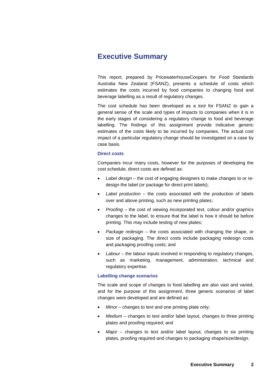# **Executive Summary**

This report, prepared by PricewaterhouseCoopers for Food Standards Australia New Zealand (FSANZ), presents a schedule of costs which estimates the costs incurred by food companies to changing food and beverage labelling as a result of regulatory changes.

The cost schedule has been developed as a tool for FSANZ to gain a general sense of the scale and types of impacts to companies when it is in the early stages of considering a regulatory change to food and beverage labelling. The findings of this assignment provide indicative generic estimates of the costs likely to be incurred by companies. The actual cost impact of a particular regulatory change should be investigated on a case by case basis.

### **Direct costs**

Companies incur many costs, however for the purposes of developing the cost schedule, direct costs are defined as:

- *Label design* the cost of engaging designers to make changes to or redesign the label (or package for direct print labels);
- *Label production* the costs associated with the production of labels over and above printing, such as new printing plates;
- *Proofing* the cost of viewing incorporated text, colour and/or graphics changes to the label, to ensure that the label is how it should be before printing. This may include testing of new plates;
- *Package redesign –* the costs associated with changing the shape, or size of packaging. The direct costs include packaging redesign costs and packaging proofing costs; and
- *Labour* the labour inputs involved in responding to regulatory changes, such as marketing, management, administration, technical and regulatory expertise.

### **Labelling change scenarios**

The scale and scope of changes to food labelling are also vast and varied, and for the purpose of this assignment, three generic scenarios of label changes were developed and are defined as:

- *Minor* changes to text and one printing plate only;
- *Medium* changes to text and/or label layout, changes to three printing plates and proofing required; and
- *Major* changes to text and/or label layout, changes to six printing plates, proofing required and changes to packaging shape/size/design.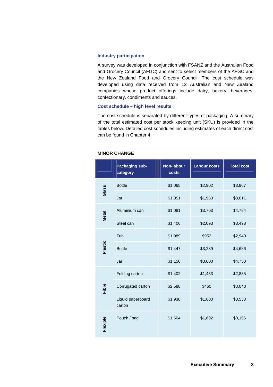#### **Industry participation**

A survey was developed in conjunction with FSANZ and the Australian Food and Grocery Council (AFGC) and sent to select members of the AFGC and the New Zealand Food and Grocery Council. The cost schedule was developed using data received from 12 Australian and New Zealand companies whose product offerings include dairy, bakery, beverages, confectionary, condiments and sauces.

### **Cost schedule – high level results**

The cost schedule is separated by different types of packaging. A summary of the total estimated cost per stock keeping unit (SKU) is provided in the tables below. Detailed cost schedules including estimates of each direct cost can be found in Chapter 4.

|              | <b>Packaging sub-</b><br>category | Non-labour<br>costs | <b>Labour costs</b> | <b>Total cost</b> |
|--------------|-----------------------------------|---------------------|---------------------|-------------------|
| Glass        | <b>Bottle</b>                     | \$1,065             | \$2,902             | \$3,967           |
|              | Jar                               | \$1,851             | \$1,960             | \$3,811           |
| <b>Metal</b> | Aluminium can                     | \$1,081             | \$3,703             | \$4,784           |
|              | Steel can                         | \$1,406             | \$2,093             | \$3,498           |
|              | Tub                               | \$1,989             | \$952               | \$2,940           |
| Plastic      | <b>Bottle</b>                     | \$1,447             | \$3,239             | \$4,686           |
|              | Jar                               | \$1,150             | \$3,600             | \$4,750           |
|              | Folding carton                    | \$1,402             | \$1,483             | \$2,885           |
| Fibre        | Corrugated carton                 | \$2,588             | \$460               | \$3,048           |
|              | Liquid paperboard<br>carton       | \$1,938             | \$1,600             | \$3,538           |
| Flexible     | Pouch / bag                       | \$1,504             | \$1,692             | \$3,196           |

### **MINOR CHANGE**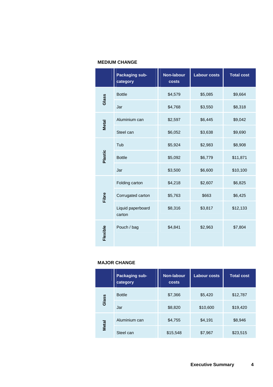### **MEDIUM CHANGE**

|              | <b>Packaging sub-</b><br>category | <b>Non-labour</b><br><b>costs</b> | <b>Labour costs</b> | <b>Total cost</b> |
|--------------|-----------------------------------|-----------------------------------|---------------------|-------------------|
| Glass        | <b>Bottle</b>                     | \$4,579                           | \$5,085             | \$9,664           |
|              | Jar                               | \$4,768                           | \$3,550             | \$8,318           |
| <b>Metal</b> | Aluminium can                     | \$2,597                           | \$6,445             | \$9,042           |
|              | Steel can                         | \$6,052                           | \$3,638             | \$9,690           |
|              | Tub                               | \$5,924                           | \$2,983             | \$8,908           |
| Plastic      | <b>Bottle</b>                     | \$5,092                           | \$6,779             | \$11,871          |
|              | Jar                               | \$3,500                           | \$6,600             | \$10,100          |
|              | Folding carton                    | \$4,218                           | \$2,607             | \$6,825           |
| Fibre        | Corrugated carton                 | \$5,763                           | \$663               | \$6,425           |
|              | Liquid paperboard<br>carton       | \$8,316                           | \$3,817             | \$12,133          |
| Flexible     | Pouch / bag                       | \$4,841                           | \$2,963             | \$7,804           |

### **MAJOR CHANGE**

|              | Packaging sub-<br>category | Non-labour<br><b>costs</b> | Labour costs | <b>Total cost</b> |
|--------------|----------------------------|----------------------------|--------------|-------------------|
| Glass        | <b>Bottle</b>              | \$7,366                    | \$5,420      | \$12,787          |
|              | Jar                        | \$8,820                    | \$10,600     | \$19,420          |
| <b>Metal</b> | Aluminium can              | \$4,755                    | \$4,191      | \$8,946           |
|              | Steel can                  | \$15,548                   | \$7,967      | \$23,515          |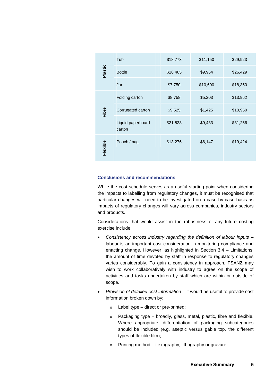|          | Tub                         | \$18,773 | \$11,150 | \$29,923 |  |
|----------|-----------------------------|----------|----------|----------|--|
| Plastic  | <b>Bottle</b>               | \$16,465 | \$9,964  | \$26,429 |  |
|          | Jar                         | \$7,750  | \$10,600 | \$18,350 |  |
|          | Folding carton              | \$8,758  | \$5,203  | \$13,962 |  |
| Fibre    | Corrugated carton           | \$9,525  | \$1,425  | \$10,950 |  |
|          | Liquid paperboard<br>carton | \$21,823 | \$9,433  | \$31,256 |  |
| Flexible | Pouch / bag                 | \$13,276 | \$6,147  | \$19,424 |  |

### **Conclusions and recommendations**

While the cost schedule serves as a useful starting point when considering the impacts to labelling from regulatory changes, it must be recognised that particular changes will need to be investigated on a case by case basis as impacts of regulatory changes will vary across companies, industry sectors and products.

Considerations that would assist in the robustness of any future costing exercise include:

- *Consistency across industry regarding the definition of labour inputs –* labour is an important cost consideration in monitoring compliance and enacting change. However, as highlighted in Section 3.4 – Limitations, the amount of time devoted by staff in response to regulatory changes varies considerably. To gain a consistency in approach, FSANZ may wish to work collaboratively with industry to agree on the scope of activities and tasks undertaken by staff which are within or outside of scope.
- *Provision of detailed cost information –* it would be useful to provide cost information broken down by:
	- $\circ$  Label type direct or pre-printed;
	- o Packaging type broadly, glass, metal, plastic, fibre and flexible. Where appropriate, differentiation of packaging subcategories should be included (e.g. aseptic versus gable top, the different types of flexible film);
	- o Printing method flexography, lithography or gravure;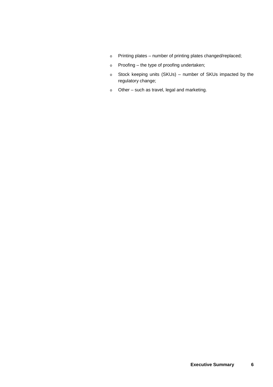- o Printing plates number of printing plates changed/replaced;
- o Proofing the type of proofing undertaken;
- o Stock keeping units (SKUs) number of SKUs impacted by the regulatory change;
- o Other such as travel, legal and marketing.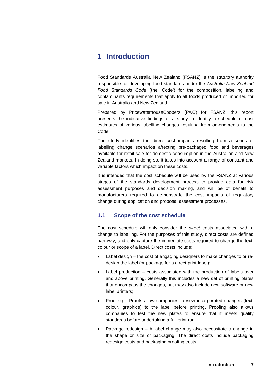# **1 Introduction**

Food Standards Australia New Zealand (FSANZ) is the statutory authority responsible for developing food standards under the *Australia New Zealand Food Standards Code* (the 'Code') for the composition, labelling and contaminants requirements that apply to all foods produced or imported for sale in Australia and New Zealand.

Prepared by PricewaterhouseCoopers (PwC) for FSANZ, this report presents the indicative findings of a study to identify a schedule of cost estimates of various labelling changes resulting from amendments to the Code.

The study identifies the direct cost impacts resulting from a series of labelling change scenarios affecting pre-packaged food and beverages available for retail sale for domestic consumption in the Australian and New Zealand markets. In doing so, it takes into account a range of constant and variable factors which impact on these costs.

It is intended that the cost schedule will be used by the FSANZ at various stages of the standards development process to provide data for risk assessment purposes and decision making, and will be of benefit to manufacturers required to demonstrate the cost impacts of regulatory change during application and proposal assessment processes.

# **1.1 Scope of the cost schedule**

The cost schedule will only consider the *direct* costs associated with a change to labelling. For the purposes of this study, direct costs are defined narrowly, and only capture the immediate costs required to change the text, colour or scope of a label. Direct costs include:

- Label design the cost of engaging designers to make changes to or redesign the label (or package for a direct print label);
- Label production costs associated with the production of labels over and above printing. Generally this includes a new set of printing plates that encompass the changes, but may also include new software or new label printers;
- Proofing Proofs allow companies to view incorporated changes (text, colour, graphics) to the label before printing. Proofing also allows companies to test the new plates to ensure that it meets quality standards before undertaking a full print run;
- Package redesign A label change may also necessitate a change in the shape or size of packaging. The direct costs include packaging redesign costs and packaging proofing costs;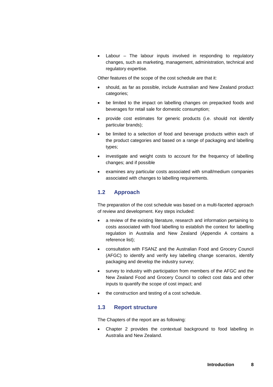Labour – The labour inputs involved in responding to regulatory changes, such as marketing, management, administration, technical and regulatory expertise.

Other features of the scope of the cost schedule are that it:

- should, as far as possible, include Australian and New Zealand product categories;
- be limited to the impact on labelling changes on prepacked foods and beverages for retail sale for domestic consumption;
- provide cost estimates for generic products (i.e. should not identify particular brands);
- be limited to a selection of food and beverage products within each of the product categories and based on a range of packaging and labelling types;
- investigate and weight costs to account for the frequency of labelling changes; and if possible
- examines any particular costs associated with small/medium companies associated with changes to labelling requirements.

# **1.2 Approach**

The preparation of the cost schedule was based on a multi-faceted approach of review and development. Key steps included:

- a review of the existing literature, research and information pertaining to costs associated with food labelling to establish the context for labelling regulation in Australia and New Zealand (Appendix A contains a reference list);
- consultation with FSANZ and the Australian Food and Grocery Council (AFGC) to identify and verify key labelling change scenarios, identify packaging and develop the industry survey;
- survey to industry with participation from members of the AFGC and the New Zealand Food and Grocery Council to collect cost data and other inputs to quantify the scope of cost impact; and
- the construction and testing of a cost schedule.

# **1.3 Report structure**

The Chapters of the report are as following:

 Chapter 2 provides the contextual background to food labelling in Australia and New Zealand.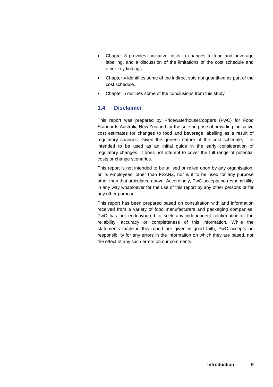- Chapter 3 provides indicative costs to changes to food and beverage labelling, and a discussion of the limitations of the cost schedule and other key findings.
- Chapter 4 identifies some of the indirect sots not quantified as part of the cost schedule.
- Chapter 5 outlines some of the conclusions from this study.

# **1.4 Disclaimer**

This report was prepared by PricewaterhouseCoopers (PwC) for Food Standards Australia New Zealand for the sole purpose of providing indicative cost estimates for changes to food and beverage labelling as a result of regulatory changes. Given the generic nature of the cost schedule, it is intended to be used as an initial guide in the early consideration of regulatory changes. It does not attempt to cover the full range of potential costs or change scenarios.

This report is not intended to be utilised or relied upon by any organisation, or its employees, other than FSANZ, nor is it to be used for any purpose other than that articulated above. Accordingly, PwC accepts no responsibility in any way whatsoever for the use of this report by any other persons or for any other purpose.

This report has been prepared based on consultation with and information received from a variety of food manufacturers and packaging companies. PwC has not endeavoured to seek any independent confirmation of the reliability, accuracy or completeness of this information. While the statements made in this report are given in good faith, PwC accepts no responsibility for any errors in the information on which they are based, nor the effect of any such errors on our comments.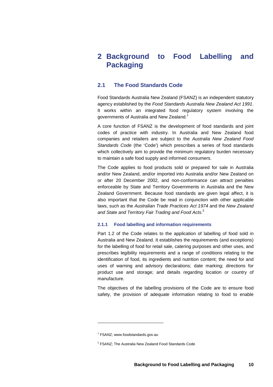# **2 Background to Food Labelling and Packaging**

# **2.1 The Food Standards Code**

Food Standards Australia New Zealand (FSANZ) is an independent statutory agency established by the *Food Standards Australia New Zealand Act 1991*. It works within an integrated food regulatory system involving the governments of Australia and New Zealand. $^{\mathrm{1}}$ 

A core function of FSANZ is the development of food standards and joint codes of practice with industry. In Australia and New Zealand food companies and retailers are subject to the *Australia New Zealand Food Standards Code* (the 'Code') which prescribes a series of food standards which collectively aim to provide the minimum regulatory burden necessary to maintain a safe food supply and informed consumers.

The Code applies to food products sold or prepared for sale in Australia and/or New Zealand, and/or imported into Australia and/or New Zealand on or after 20 December 2002, and non-conformance can attract penalties enforceable by State and Territory Governments in Australia and the New Zealand Government. Because food standards are given legal affect, it is also important that the Code be read in conjunction with other applicable laws, such as the *Australian Trade Practices Act 1974* and the *New Zealand and State and Territory Fair Trading and Food Acts*. 2

### **2.1.1 Food labelling and information requirements**

Part 1.2 of the Code relates to the application of labelling of food sold in Australia and New Zealand. It establishes the requirements (and exceptions) for the labelling of food for retail sale, catering purposes and other uses, and prescribes legibility requirements and a range of conditions relating to the identification of food, its ingredients and nutrition content; the need for and uses of warning and advisory declarations; date marking; directions for product use and storage; and details regarding location or country of manufacture.

The objectives of the labelling provisions of the Code are to ensure food safety, the provision of adequate information relating to food to enable

<sup>&</sup>lt;sup>1</sup> FSANZ; www.foodstandards.gov.au

<sup>&</sup>lt;sup>2</sup> FSANZ; The Australia New Zealand Food Standards Code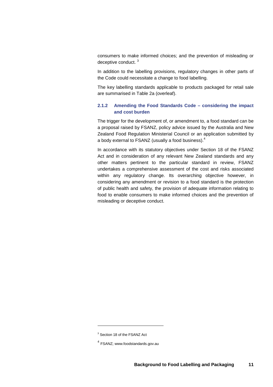consumers to make informed choices; and the prevention of misleading or deceptive conduct. <sup>3</sup>

In addition to the labelling provisions, regulatory changes in other parts of the Code could necessitate a change to food labelling.

The key labelling standards applicable to products packaged for retail sale are summarised in Table 2a (overleaf).

### **2.1.2 Amending the Food Standards Code – considering the impact and cost burden**

The trigger for the development of, or amendment to, a food standard can be a proposal raised by FSANZ, policy advice issued by the Australia and New Zealand Food Regulation Ministerial Council or an application submitted by a body external to FSANZ (usually a food business).<sup>4</sup>

In accordance with its statutory objectives under Section 18 of the FSANZ Act and in consideration of any relevant New Zealand standards and any other matters pertinent to the particular standard in review, FSANZ undertakes a comprehensive assessment of the cost and risks associated within any regulatory change. Its overarching objective however, in considering any amendment or revision to a food standard is the protection of public health and safety, the provision of adequate information relating to food to enable consumers to make informed choices and the prevention of misleading or deceptive conduct.

<sup>3</sup> Section 18 of the FSANZ Act

<sup>4</sup> FSANZ; www.foodstandards.gov.au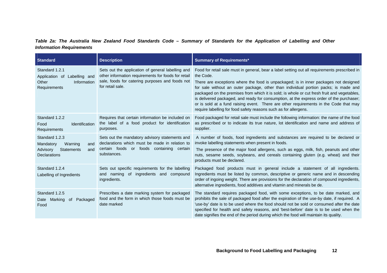# *Table 2a: The Australia New Zealand Food Standards Code – Summary of Standards for the Application of Labelling and Other Information Requirements*

| <b>Standard</b>                                                                                              | <b>Description</b>                                                                                                                                                              | <b>Summary of Requirements*</b>                                                                                                                                                                                                                                                                                                                                                                                                                                                                                                                                                                                                                   |
|--------------------------------------------------------------------------------------------------------------|---------------------------------------------------------------------------------------------------------------------------------------------------------------------------------|---------------------------------------------------------------------------------------------------------------------------------------------------------------------------------------------------------------------------------------------------------------------------------------------------------------------------------------------------------------------------------------------------------------------------------------------------------------------------------------------------------------------------------------------------------------------------------------------------------------------------------------------------|
| Standard 1.2.1<br>Application of Labelling and<br>Information<br>Other<br>Requirements                       | Sets out the application of general labelling and<br>other information requirements for foods for retail<br>sale, foods for catering purposes and foods not<br>for retail sale. | Food for retail sale must in general, bear a label setting out all requirements prescribed in<br>the Code.<br>There are exceptions where the food is unpackaged; is in inner packages not designed<br>for sale without an outer package, other than individual portion packs; is made and<br>packaged on the premises from which it is sold; is whole or cut fresh fruit and vegetables,<br>is delivered packaged, and ready for consumption, at the express order of the purchaser;<br>or is sold at a fund raising event. There are other requirements in the Code that may<br>require labelling for food safety reasons such as for allergens. |
| Standard 1.2.2<br>Identification<br>Food<br>Requirements                                                     | Requires that certain information be included on<br>the label of a food product for identification<br>purposes.                                                                 | Food packaged for retail sale must include the following information: the name of the food<br>as prescribed or to indicate its true nature, lot identification and name and address of<br>supplier.                                                                                                                                                                                                                                                                                                                                                                                                                                               |
| Standard 1.2.3<br>Warning<br>Mandatory<br>and<br>Advisory<br><b>Statements</b><br>and<br><b>Declarations</b> | Sets out the mandatory advisory statements and<br>declarations which must be made in relation to<br>certain foods or foods containing certain<br>substances.                    | A number of foods, food ingredients and substances are required to be declared or<br>invoke labelling statements when present in foods.<br>The presence of the major food allergens, such as eggs, milk, fish, peanuts and other<br>nuts, sesame seeds, soybeans, and cereals containing gluten (e.g. wheat) and their<br>products must be declared.                                                                                                                                                                                                                                                                                              |
| Standard 1.2.4<br>Labelling of Ingredients                                                                   | Sets out specific requirements for the labelling<br>and naming of ingredients and compound<br>ingredients.                                                                      | Packaged food products must in general include a statement of all ingredients.<br>Ingredients must be listed by common, descriptive or generic name and in descending<br>order of ingoing weight. There are provisions for the declaration of compound ingredients,<br>alternative ingredients, food additives and vitamin and minerals be de.                                                                                                                                                                                                                                                                                                    |
| Standard 1.2.5<br>Packaged<br>Marking<br>of<br>Date<br>Food                                                  | Prescribes a date marking system for packaged<br>food and the form in which those foods must be<br>date marked                                                                  | The standard requires packaged food, with some exceptions, to be date marked, and<br>prohibits the sale of packaged food after the expiration of the use-by date, if required. A<br>'use-by' date is to be used where the food should not be sold or consumed after the date<br>specified for health and safety reasons, and 'best-before' date is to be used when the<br>date signifies the end of the period during which the food will maintain its quality.                                                                                                                                                                                   |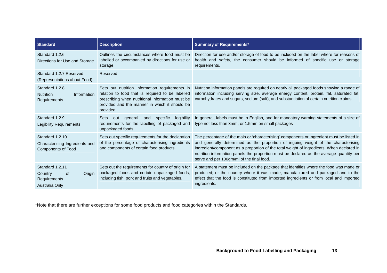| <b>Standard</b>                                                                | <b>Description</b>                                                                                                                                                                                                   | <b>Summary of Requirements*</b>                                                                                                                                                                                                                                                                                                                                                                                       |
|--------------------------------------------------------------------------------|----------------------------------------------------------------------------------------------------------------------------------------------------------------------------------------------------------------------|-----------------------------------------------------------------------------------------------------------------------------------------------------------------------------------------------------------------------------------------------------------------------------------------------------------------------------------------------------------------------------------------------------------------------|
| Standard 1.2.6<br>Directions for Use and Storage                               | Outlines the circumstances where food must be<br>labelled or accompanied by directions for use or<br>storage.                                                                                                        | Direction for use and/or storage of food to be included on the label where for reasons of<br>health and safety, the consumer should be informed of specific use or storage<br>requirements.                                                                                                                                                                                                                           |
| Standard 1.2.7 Reserved<br>(Representations about Food)                        | Reserved                                                                                                                                                                                                             |                                                                                                                                                                                                                                                                                                                                                                                                                       |
| Standard 1.2.8<br><b>Nutrition</b><br>Information<br>Requirements              | Sets out nutrition information requirements in<br>relation to food that is required to be labelled<br>prescribing when nutritional information must be<br>provided and the manner in which it should be<br>provided. | Nutrition information panels are required on nearly all packaged foods showing a range of<br>information including serving size, average energy content, protein, fat, saturated fat,<br>carbohydrates and sugars, sodium (salt), and substantiation of certain nutrition claims.                                                                                                                                     |
| Standard 1.2.9<br><b>Legibility Requirements</b>                               | legibility<br>and<br>specific<br>Sets<br>out<br>general<br>requirements for the labelling of packaged and<br>unpackaged foods.                                                                                       | In general, labels must be in English, and for mandatory warning statements of a size of<br>type not less than 3mm, or 1.5mm on small packages                                                                                                                                                                                                                                                                        |
| Standard 1.2.10<br>Characterising Ingredients and<br><b>Components of Food</b> | Sets out specific requirements for the declaration<br>of the percentage of characterising ingredients<br>and components of certain food products.                                                                    | The percentage of the main or 'characterising' components or ingredient must be listed in<br>and generally determined as the proportion of ingoing weight of the characterising<br>ingredient/component as a proportion of the total weight of ingredients. When declared in<br>nutrition information panels the proportion must be declared as the average quantity per<br>serve and per 100gm/ml of the final food. |
| Standard 1.2.11<br>Country<br>0f<br>Origin<br>Requirements<br>Australia Only   | Sets out the requirements for country of origin for<br>packaged foods and certain unpackaged foods,<br>including fish, pork and fruits and vegetables.                                                               | A statement must be included on the package that identifies where the food was made or<br>produced; or the country where it was made, manufactured and packaged and to the<br>effect that the food is constituted from imported ingredients or from local and imported<br>ingredients.                                                                                                                                |

\*Note that there are further exceptions for some food products and food categories within the Standards.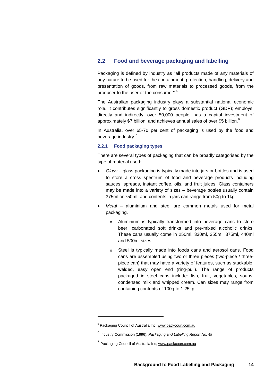# **2.2 Food and beverage packaging and labelling**

Packaging is defined by industry as "all products made of any materials of any nature to be used for the containment, protection, handling, delivery and presentation of goods, from raw materials to processed goods, from the producer to the user or the consumer".<sup>5</sup>

The Australian packaging industry plays a substantial national economic role. It contributes significantly to gross domestic product (GDP); employs, directly and indirectly, over 50,000 people; has a capital investment of approximately \$7 billion; and achieves annual sales of over \$5 billion. $<sup>6</sup>$ </sup>

In Australia, over 65-70 per cent of packaging is used by the food and beverage industry.<sup>7</sup>

### **2.2.1 Food packaging types**

There are several types of packaging that can be broadly categorised by the type of material used:

- *Glass* glass packaging is typically made into jars or bottles and is used to store a cross spectrum of food and beverage products including sauces, spreads, instant coffee, oils, and fruit juices. Glass containers may be made into a variety of sizes – beverage bottles usually contain 375ml or 750ml, and contents in jars can range from 50g to 1kg.
- *Metal* aluminium and steel are common metals used for metal packaging.
	- o Aluminium is typically transformed into beverage cans to store beer, carbonated soft drinks and pre-mixed alcoholic drinks. These cans usually come in 250ml, 330ml, 355ml, 375ml, 440ml and 500ml sizes.
	- o Steel is typically made into foods cans and aerosol cans. Food cans are assembled using two or three pieces (two-piece / threepiece can) that may have a variety of features, such as stackable, welded, easy open end (ring-pull). The range of products packaged in steel cans include: fish, fruit, vegetables, soups, condensed milk and whipped cream. Can sizes may range from containing contents of 100g to 1.25kg.

<sup>&</sup>lt;sup>5</sup> Packaging Council of Australia Inc: www.packcoun.com.au

<sup>6</sup> Industry Commission (1996); *Packaging and Labelling Report No. 49*

<sup>&</sup>lt;sup>7</sup> Packaging Council of Australia Inc; www.packcoun.com.au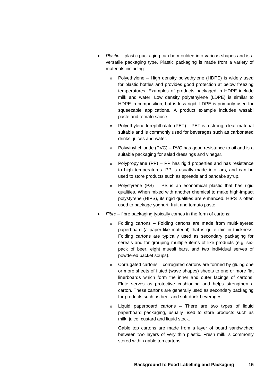- *Plastic –* plastic packaging can be moulded into various shapes and is a versatile packaging type. Plastic packaging is made from a variety of materials including:
	- o Polyethylene High density polyethylene (HDPE) is widely used for plastic bottles and provides good protection at below freezing temperatures. Examples of products packaged in HDPE include milk and water. Low density polyethylene (LDPE) is similar to HDPE in composition, but is less rigid. LDPE is primarily used for squeezable applications. A product example includes wasabi paste and tomato sauce.
	- $\circ$  Polyethylene terephthalate (PET) PET is a strong, clear material suitable and is commonly used for beverages such as carbonated drinks, juices and water.
	- $\circ$  Polyvinyl chloride (PVC) PVC has good resistance to oil and is a suitable packaging for salad dressings and vinegar.
	- $\circ$  Polypropylene (PP) PP has rigid properties and has resistance to high temperatures. PP is usually made into jars, and can be used to store products such as spreads and pancake syrup.
	- Polystyrene  $(PS)$  PS is an economical plastic that has rigid qualities. When mixed with another chemical to make high-impact polystyrene (HIPS), its rigid qualities are enhanced. HIPS is often used to package yoghurt, fruit and tomato paste.
- *Fibre –* fibre packaging typically comes in the form of cartons:
	- o Folding cartons Folding cartons are made from multi-layered paperboard (a paper-like material) that is quite thin in thickness. Folding cartons are typically used as secondary packaging for cereals and for grouping multiple items of like products (e.g. sixpack of beer, eight muesli bars, and two individual serves of powdered packet soups).
	- $\circ$  Corrugated cartons corrugated cartons are formed by gluing one or more sheets of fluted (wave shapes) sheets to one or more flat linerboards which form the inner and outer facings of cartons. Flute serves as protective cushioning and helps strengthen a carton. These cartons are generally used as secondary packaging for products such as beer and soft drink beverages.
	- $\circ$  Liquid paperboard cartons There are two types of liquid paperboard packaging, usually used to store products such as milk, juice, custard and liquid stock.

Gable top cartons are made from a layer of board sandwiched between two layers of very thin plastic. Fresh milk is commonly stored within gable top cartons.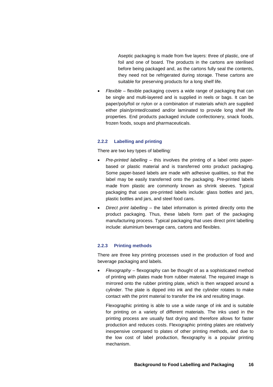Aseptic packaging is made from five layers: three of plastic, one of foil and one of board. The products in the cartons are sterilised before being packaged and, as the cartons fully seal the contents, they need not be refrigerated during storage. These cartons are suitable for preserving products for a long shelf life.

 *Flexible –* flexible packaging covers a wide range of packaging that can be single and multi-layered and is supplied in reels or bags. It can be paper/poly/foil or nylon or a combination of materials which are supplied either plain/printed/coated and/or laminated to provide long shelf life properties. End products packaged include confectionery, snack foods, frozen foods, soups and pharmaceuticals.

### **2.2.2 Labelling and printing**

There are two key types of labelling:

- *Pre-printed labelling –* this involves the printing of a label onto paperbased or plastic material and is transferred onto product packaging. Some paper-based labels are made with adhesive qualities, so that the label may be easily transferred onto the packaging. Pre-printed labels made from plastic are commonly known as shrink sleeves. Typical packaging that uses pre-printed labels include: glass bottles and jars, plastic bottles and jars, and steel food cans.
- *Direct print labelling –* the label information is printed directly onto the product packaging. Thus, these labels form part of the packaging manufacturing process. Typical packaging that uses direct print labelling include: aluminium beverage cans, cartons and flexibles.

### **2.2.3 Printing methods**

There are three key printing processes used in the production of food and beverage packaging and labels.

 *Flexography –* flexography can be thought of as a sophisticated method of printing with plates made from rubber material. The required image is mirrored onto the rubber printing plate, which is then wrapped around a cylinder. The plate is dipped into ink and the cylinder rotates to make contact with the print material to transfer the ink and resulting image.

Flexographic printing is able to use a wide range of ink and is suitable for printing on a variety of different materials. The inks used in the printing process are usually fast drying and therefore allows for faster production and reduces costs. Flexographic printing plates are relatively inexpensive compared to plates of other printing methods, and due to the low cost of label production, flexography is a popular printing mechanism.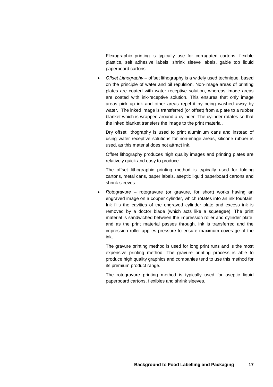Flexographic printing is typically use for corrugated cartons, flexible plastics, self adhesive labels, shrink sleeve labels, gable top liquid paperboard cartons

 *Offset Lithography* – offset lithography is a widely used technique, based on the principle of water and oil repulsion. Non-image areas of printing plates are coated with water receptive solution, whereas image areas are coated with ink-receptive solution. This ensures that only image areas pick up ink and other areas repel it by being washed away by water. The inked image is transferred (or offset) from a plate to a rubber blanket which is wrapped around a cylinder. The cylinder rotates so that the inked blanket transfers the image to the print material.

Dry offset lithography is used to print aluminium cans and instead of using water receptive solutions for non-image areas, silicone rubber is used, as this material does not attract ink.

Offset lithography produces high quality images and printing plates are relatively quick and easy to produce.

The offset lithographic printing method is typically used for folding cartons, metal cans, paper labels, aseptic liquid paperboard cartons and shrink sleeves.

 *Rotogravure –* rotogravure (or gravure, for short) works having an engraved image on a copper cylinder, which rotates into an ink fountain. Ink fills the cavities of the engraved cylinder plate and excess ink is removed by a doctor blade (which acts like a squeegee). The print material is sandwiched between the impression roller and cylinder plate, and as the print material passes through, ink is transferred and the impression roller applies pressure to ensure maximum coverage of the ink.

The gravure printing method is used for long print runs and is the most expensive printing method. The gravure printing process is able to produce high quality graphics and companies tend to use this method for its premium product range.

The rotogravure printing method is typically used for aseptic liquid paperboard cartons, flexibles and shrink sleeves.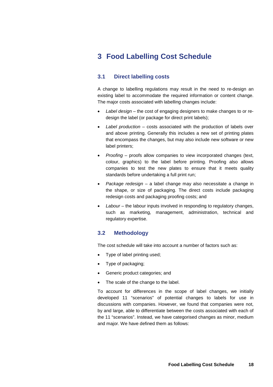# **3 Food Labelling Cost Schedule**

# **3.1 Direct labelling costs**

A change to labelling regulations may result in the need to re-design an existing label to accommodate the required information or content change. The major costs associated with labelling changes include:

- *Label design –* the cost of engaging designers to make changes to or redesign the label (or package for direct print labels);
- *Label production –* costs associated with the production of labels over and above printing. Generally this includes a new set of printing plates that encompass the changes, but may also include new software or new label printers;
- *Proofing –* proofs allow companies to view incorporated changes (text, colour, graphics) to the label before printing. Proofing also allows companies to test the new plates to ensure that it meets quality standards before undertaking a full print run;
- *Package redesign –* a label change may also necessitate a change in the shape, or size of packaging. The direct costs include packaging redesign costs and packaging proofing costs; and
- *Labour –* the labour inputs involved in responding to regulatory changes, such as marketing, management, administration, technical and regulatory expertise.

# **3.2 Methodology**

The cost schedule will take into account a number of factors such as:

- Type of label printing used;
- Type of packaging;
- Generic product categories; and
- The scale of the change to the label.

To account for differences in the scope of label changes, we initially developed 11 "scenarios" of potential changes to labels for use in discussions with companies. However, we found that companies were not, by and large, able to differentiate between the costs associated with each of the 11 "scenarios". Instead, we have categorised changes as minor, medium and major. We have defined them as follows: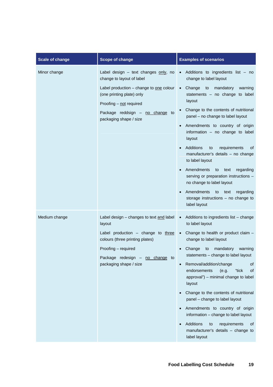| <b>Scale of change</b> | <b>Scope of change</b>                                                                                                                                                                                                                 | <b>Examples of scenarios</b>                                                                                                                                                                                                                                                                                                                                                                                                                                                                                                                                                                                                                                             |
|------------------------|----------------------------------------------------------------------------------------------------------------------------------------------------------------------------------------------------------------------------------------|--------------------------------------------------------------------------------------------------------------------------------------------------------------------------------------------------------------------------------------------------------------------------------------------------------------------------------------------------------------------------------------------------------------------------------------------------------------------------------------------------------------------------------------------------------------------------------------------------------------------------------------------------------------------------|
| Minor change           | Label design $-$ text changes only, no<br>change to layout of label<br>Label production - change to one colour<br>(one printing plate) only<br>Proofing - not required<br>Package reddsign - no change<br>to<br>packaging shape / size | Additions to ingredients list - no<br>change to label layout<br>Change<br>to<br>mandatory<br>warning<br>$\bullet$<br>statements - no change to label<br>layout<br>Change to the contents of nutritional<br>panel - no change to label layout<br>Amendments to country of origin<br>$\bullet$<br>information - no change to label<br>layout<br>Additions<br>requirements<br>to<br>οf<br>$\bullet$<br>manufacturer's details - no change<br>to label layout<br>Amendments<br>to<br>text<br>regarding<br>serving or preparation instructions -<br>no change to label layout<br>Amendments<br>to<br>regarding<br>text<br>storage instructions - no change to<br>label layout |
| Medium change          | Label design - changes to text and label<br>layout<br>Label production - change to three<br>colours (three printing plates)<br>Proofing - required<br>Package redesign - no change to<br>packaging shape / size                        | Additions to ingredients list - change<br>to label layout<br>Change to health or product claim -<br>$\bullet$<br>change to label layout<br>mandatory<br>Change<br>warning<br>to<br>statements - change to label layout<br>Removal/addition/change<br>οf<br>endorsements<br>(e.g.<br>"tick<br>οf<br>approval") - minimal change to label<br>layout<br>Change to the contents of nutritional<br>panel - change to label layout<br>Amendments to country of origin<br>information - change to label layout<br>Additions<br>requirements<br>to<br>0f<br>$\bullet$<br>manufacturer's details - change to<br>label layout                                                      |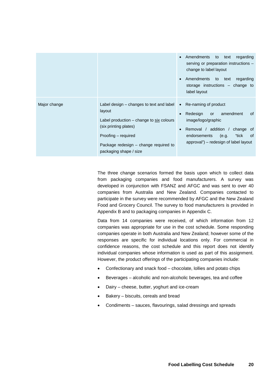|              |                                                                                                                                                                                                                     |                        | Amendments to text<br>regarding<br>serving or preparation instructions -<br>change to label layout<br>Amendments to text<br>regarding<br>storage instructions $-$ change to<br>label layout           |
|--------------|---------------------------------------------------------------------------------------------------------------------------------------------------------------------------------------------------------------------|------------------------|-------------------------------------------------------------------------------------------------------------------------------------------------------------------------------------------------------|
| Major change | Label design – changes to text and label<br>layout<br>Label production $-$ change to six colours<br>(six printing plates)<br>Proofing – required<br>Package redesign – change required to<br>packaging shape / size | $\bullet$<br>$\bullet$ | Re-naming of product<br>Redesign<br>amendment<br>0f<br>or<br>image/logo/graphic<br>Removal / addition /<br>change of<br>endorsements<br>(e.g.<br>"tick<br>of<br>approval") – redesign of label layout |

The three change scenarios formed the basis upon which to collect data from packaging companies and food manufacturers. A survey was developed in conjunction with FSANZ and AFGC and was sent to over 40 companies from Australia and New Zealand. Companies contacted to participate in the survey were recommended by AFGC and the New Zealand Food and Grocery Council. The survey to food manufacturers is provided in Appendix B and to packaging companies in Appendix C.

Data from 14 companies were received, of which information from 12 companies was appropriate for use in the cost schedule. Some responding companies operate in both Australia and New Zealand; however some of the responses are specific for individual locations only. For commercial in confidence reasons, the cost schedule and this report does not identify individual companies whose information is used as part of this assignment. However, the product offerings of the participating companies include:

- Confectionary and snack food chocolate, lollies and potato chips
- Beverages alcoholic and non-alcoholic beverages, tea and coffee
- Dairy cheese, butter, yoghurt and ice-cream
- Bakery biscuits, cereals and bread
- Condiments sauces, flavourings, salad dressings and spreads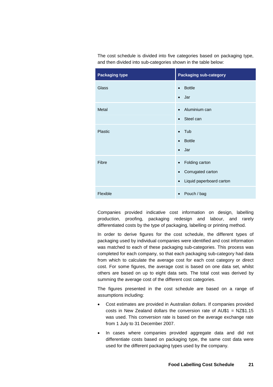The cost schedule is divided into five categories based on packaging type, and then divided into sub-categories shown in the table below:

| <b>Packaging type</b> | <b>Packaging sub-category</b>         |
|-----------------------|---------------------------------------|
| <b>Glass</b>          | <b>Bottle</b><br>$\bullet$            |
|                       | Jar<br>$\bullet$                      |
| Metal                 | Aluminium can<br>$\bullet$            |
|                       | Steel can<br>$\bullet$                |
| Plastic               | Tub<br>$\bullet$                      |
|                       | <b>Bottle</b><br>$\bullet$            |
|                       | Jar<br>$\bullet$                      |
| Fibre                 | Folding carton<br>$\bullet$           |
|                       | Corrugated carton                     |
|                       | Liquid paperboard carton<br>$\bullet$ |
| Flexible              | Pouch / bag<br>٠                      |

Companies provided indicative cost information on design, labelling production, proofing, packaging redesign and labour, and rarely differentiated costs by the type of packaging, labelling or printing method.

In order to derive figures for the cost schedule, the different types of packaging used by individual companies were identified and cost information was matched to each of these packaging sub-categories. This process was completed for each company, so that each packaging sub-category had data from which to calculate the average cost for each cost category or direct cost. For some figures, the average cost is based on one data set, whilst others are based on up to eight data sets. The total cost was derived by summing the average cost of the different cost categories.

The figures presented in the cost schedule are based on a range of assumptions including:

- Cost estimates are provided in Australian dollars. If companies provided costs in New Zealand dollars the conversion rate of AU\$1 = NZ\$1.15 was used. This conversion rate is based on the average exchange rate from 1 July to 31 December 2007.
- In cases where companies provided aggregate data and did not differentiate costs based on packaging type, the same cost data were used for the different packaging types used by the company.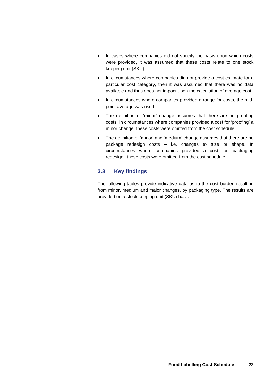- In cases where companies did not specify the basis upon which costs were provided, it was assumed that these costs relate to one stock keeping unit (SKU).
- In circumstances where companies did not provide a cost estimate for a particular cost category, then it was assumed that there was no data available and thus does not impact upon the calculation of average cost.
- In circumstances where companies provided a range for costs, the midpoint average was used.
- The definition of 'minor' change assumes that there are no proofing costs. In circumstances where companies provided a cost for 'proofing' a minor change, these costs were omitted from the cost schedule.
- The definition of 'minor' and 'medium' change assumes that there are no package redesign costs – i.e. changes to size or shape. In circumstances where companies provided a cost for 'packaging redesign', these costs were omitted from the cost schedule.

# **3.3 Key findings**

The following tables provide indicative data as to the cost burden resulting from minor, medium and major changes, by packaging type. The results are provided on a stock keeping unit (SKU) basis.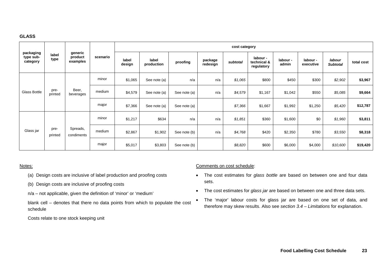#### **GLASS**

| packaging<br>type sub-<br>category | label<br>type                   | generic<br>product<br>examples | scenario |                 | cost category       |              |                     |              |                                       |                   |                       |                           |            |         |
|------------------------------------|---------------------------------|--------------------------------|----------|-----------------|---------------------|--------------|---------------------|--------------|---------------------------------------|-------------------|-----------------------|---------------------------|------------|---------|
|                                    |                                 |                                |          | label<br>design | label<br>production | proofing     | package<br>redesign | subtotal     | labour -<br>technical &<br>regulatory | labour -<br>admin | labour -<br>executive | labour<br><b>Subtotal</b> | total cost |         |
|                                    | pre-<br>Glass Bottle<br>printed | Beer,<br>beverages             | minor    | \$1,065         | See note (a)        | n/a          | n/a                 | \$1,065      | \$800                                 | \$450             | \$300                 | \$2,902                   | \$3,967    |         |
|                                    |                                 |                                | medium   | \$4,579         | See note (a)        | See note (a) | n/a                 | \$4,579      | \$1,167                               | \$1,042           | \$550                 | \$5,085                   | \$9,664    |         |
|                                    |                                 |                                |          |                 | major               | \$7,366      | See note (a)        | See note (a) |                                       | \$7,366           | \$1,667               | \$1,992                   | \$1,250    | \$5,420 |
|                                    |                                 |                                | minor    | \$1,217         | \$634               | n/a          | n/a                 | \$1,851      | \$360                                 | \$1,600           | \$0                   | \$1,960                   | \$3,811    |         |
| Glass jar                          | pre-<br>printed                 | Spreads,<br>condiments         | medium   | \$2,867         | \$1,902             | See note (b) | n/a                 | \$4,768      | \$420                                 | \$2,350           | \$780                 | \$3,550                   | \$8,318    |         |
|                                    |                                 |                                | major    | \$5,017         | \$3,803             | See note (b) |                     | \$8,820      | \$600                                 | \$6,000           | \$4,000               | \$10,600                  | \$19,420   |         |

### Notes:

- (a) Design costs are inclusive of label production and proofing costs
- (b) Design costs are inclusive of proofing costs
- n/a not applicable, given the definition of 'minor' or 'medium'
- blank cell denotes that there no data points from which to populate the cost schedule

Costs relate to one stock keeping unit

### Comments on cost schedule:

- The cost estimates for *glass bottle* are based on between one and four data sets.
- The cost estimates for *glass jar* are based on between one and three data sets.
- The 'major' labour costs for glass jar are based on one set of data, and therefore may skew results. Also see *section 3.4 – Limitations* for explanation.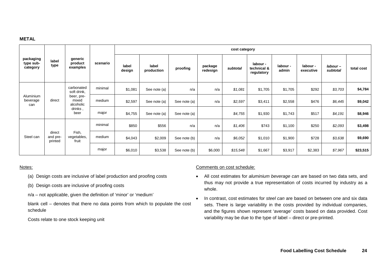### **METAL**

|                                    |                                                                                                              | generic<br>product<br>examples |          |                 | cost category       |              |                     |          |                                       |                   |                       |                      |            |  |
|------------------------------------|--------------------------------------------------------------------------------------------------------------|--------------------------------|----------|-----------------|---------------------|--------------|---------------------|----------|---------------------------------------|-------------------|-----------------------|----------------------|------------|--|
| packaging<br>type sub-<br>category | label<br>type                                                                                                |                                | scenario | label<br>design | label<br>production | proofing     | package<br>redesign | subtotal | labour -<br>technical &<br>regulatory | labour -<br>admin | labour -<br>executive | labour –<br>subtotal | total cost |  |
|                                    | soft drink,<br>Aluminium<br>beer, pre-<br>direct<br>mixed<br>beverage<br>alcoholic<br>can<br>drinks,<br>beer | carbonated                     | minimal  | \$1,081         | See note (a)        | n/a          | n/a                 | \$1,081  | \$1,705                               | \$1,705           | \$292                 | \$3,703              | \$4,784    |  |
|                                    |                                                                                                              |                                | medium   | \$2,597         | See note (a)        | See note (a) | n/a                 | \$2,597  | \$3,411                               | \$2,558           | \$476                 | \$6,445              | \$9,042    |  |
|                                    |                                                                                                              |                                | major    | \$4,755         | See note (a)        | See note (a) |                     | \$4,755  | \$1,930                               | \$1,743           | \$517                 | \$4,191              | \$8,946    |  |
|                                    |                                                                                                              |                                | minimal  | \$850           | \$556               | n/a          | n/a                 | \$1,406  | \$743                                 | \$1,100           | \$250                 | \$2,093              | \$3,498    |  |
| Steel can                          | direct<br>and pre-<br>printed                                                                                | Fish,<br>vegetables,<br>fruit  | medium   | \$4,043         | \$2,009             | See note (b) | n/a                 | \$6,052  | \$1,010                               | \$1,900           | \$728                 | \$3,638              | \$9,690    |  |
|                                    |                                                                                                              |                                | major    | \$6,010         | \$3,538             | See note (b) | \$6,000             | \$15,548 | \$1,667                               | \$3,917           | \$2,383               | \$7,967              | \$23,515   |  |

### Notes:

- (a) Design costs are inclusive of label production and proofing costs
- (b) Design costs are inclusive of proofing costs
- n/a not applicable, given the definition of 'minor' or 'medium'
- blank cell denotes that there no data points from which to populate the cost schedule

Costs relate to one stock keeping unit

### Comments on cost schedule:

- All cost estimates for *aluminium beverage can* are based on two data sets, and thus may not provide a true representation of costs incurred by industry as a whole.
- In contrast, cost estimates for *steel can* are based on between one and six data sets. There is large variability in the costs provided by individual companies, and the figures shown represent 'average' costs based on data provided. Cost variability may be due to the type of label – direct or pre-printed.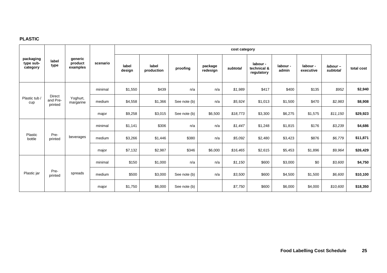# **PLASTIC**

|                                                              |                 |                                |          |                 | cost category       |              |                     |              |                                       |                   |                       |                     |            |          |
|--------------------------------------------------------------|-----------------|--------------------------------|----------|-----------------|---------------------|--------------|---------------------|--------------|---------------------------------------|-------------------|-----------------------|---------------------|------------|----------|
| packaging<br>type sub-<br>category                           | label<br>type   | generic<br>product<br>examples | scenario | label<br>design | label<br>production | proofing     | package<br>redesign | subtotal     | labour -<br>technical &<br>regulatory | labour -<br>admin | labour -<br>executive | labour-<br>subtotal | total cost |          |
|                                                              |                 |                                | minimal  | \$1,550         | \$439               | n/a          | n/a                 | \$1,989      | \$417                                 | \$400             | \$135                 | \$952               | \$2,940    |          |
| <b>Direct</b><br>Plastic tub /<br>and Pre-<br>cup<br>printed |                 | Yoghurt,<br>margarine          | medium   | \$4,558         | \$1,366             | See note (b) | n/a                 | \$5,924      | \$1,013                               | \$1,500           | \$470                 | \$2,983             | \$8,908    |          |
|                                                              |                 |                                |          |                 | major               | \$9,258      | \$3,015             | See note (b) | \$6,500                               | \$18,773          | \$3,300               | \$6,275             | \$1,575    | \$11,150 |
|                                                              |                 |                                | minimal  | \$1,141         | \$306               | n/a          | n/a                 | \$1,447      | \$1,248                               | \$1,815           | \$176                 | \$3,239             | \$4,686    |          |
| Plastic<br>bottle                                            | Pre-<br>printed | beverages                      | medium   | \$3,266         | \$1,446             | \$380        | n/a                 | \$5,092      | \$2,480                               | \$3,423           | \$876                 | \$6,779             | \$11,871   |          |
|                                                              |                 |                                | major    | \$7,132         | \$2,987             | \$346        | \$6,000             | \$16,465     | \$2,615                               | \$5,453           | \$1,896               | \$9,964             | \$26,429   |          |
|                                                              |                 |                                | minimal  | \$150           | \$1,000             | n/a          | n/a                 | \$1,150      | \$600                                 | \$3,000           | \$0                   | \$3,600             | \$4,750    |          |
| Plastic jar                                                  | Pre-<br>printed | spreads                        | medium   | \$500           | \$3,000             | See note (b) | n/a                 | \$3,500      | \$600                                 | \$4,500           | \$1,500               | \$6,600             | \$10,100   |          |
|                                                              |                 |                                | major    | \$1,750         | \$6,000             | See note (b) |                     | \$7,750      | \$600                                 | \$6,000           | \$4,000               | \$10,600            | \$18,350   |          |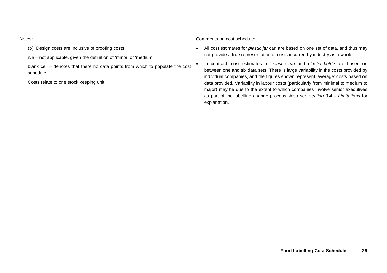#### Notes:

- (b) Design costs are inclusive of proofing costs
- n/a not applicable, given the definition of 'minor' or 'medium'
- blank cell denotes that there no data points from which to populate the cost schedule

Costs relate to one stock keeping unit

### Comments on cost schedule:

- All cost estimates for *plastic jar* can are based on one set of data, and thus may not provide a true representation of costs incurred by industry as a whole.
- In contrast, cost estimates for *plastic tub* and *plastic bottle* are based on between one and six data sets. There is large variability in the costs provided by individual companies, and the figures shown represent 'average' costs based on data provided. Variability in labour costs (particularly from minimal to medium to major) may be due to the extent to which companies involve senior executives as part of the labelling change process. Also see *section 3.4 – Limitations* for explanation.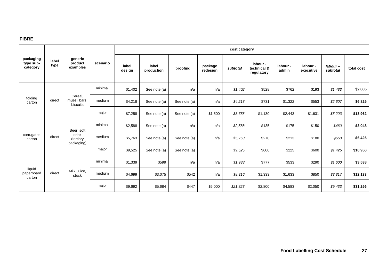### **FIBRE**

|                                    |               |                                     |          |                 | cost category       |              |                     |          |                                       |                   |                       |                     |            |          |
|------------------------------------|---------------|-------------------------------------|----------|-----------------|---------------------|--------------|---------------------|----------|---------------------------------------|-------------------|-----------------------|---------------------|------------|----------|
| packaging<br>type sub-<br>category | label<br>type | generic<br>product<br>examples      | scenario | label<br>design | label<br>production | proofing     | package<br>redesign | subtotal | labour -<br>technical &<br>regulatory | labour -<br>admin | labour -<br>executive | labour-<br>subtotal | total cost |          |
|                                    |               |                                     | minimal  | \$1,402         | See note (a)        | n/a          | n/a                 | \$1,402  | \$528                                 | \$762             | \$193                 | \$1,483             | \$2,885    |          |
| folding<br>direct<br>carton        |               | Cereal,<br>muesli bars,<br>biscuits | medium   | \$4,218         | See note (a)        | See note (a) | n/a                 | \$4,218  | \$731                                 | \$1,322           | \$553                 | \$2,607             | \$6,825    |          |
|                                    |               |                                     |          | major           | \$7,258             | See note (a) | See note (a)        | \$1,500  | \$8,758                               | \$1,130           | \$2,443               | \$1,631             | \$5,203    | \$13,962 |
|                                    |               | Beer, soft                          | minimal  | \$2,588         | See note (a)        | n/a          | n/a                 | \$2,588  | \$135                                 | \$175             | \$150                 | \$460               | \$3,048    |          |
| corrugated<br>carton               | direct        | drink<br>(tertiary                  | medium   | \$5,763         | See note (a)        | See note (a) | n/a                 | \$5,763  | \$270                                 | \$213             | \$180                 | \$663               | \$6,425    |          |
|                                    |               | packaging)                          | major    | \$9,525         | See note (a)        | See note (a) |                     | \$9,525  | \$600                                 | \$225             | \$600                 | \$1,425             | \$10,950   |          |
|                                    |               |                                     | minimal  | \$1,339         | \$599               | n/a          | n/a                 | \$1,938  | \$777                                 | \$533             | \$290                 | \$1,600             | \$3,538    |          |
| liquid<br>paperboard<br>carton     | direct        | Milk, juice,<br>stock               | medium   | \$4,699         | \$3,075             | \$542        | n/a                 | \$8,316  | \$1,333                               | \$1,633           | \$850                 | \$3,817             | \$12,133   |          |
|                                    |               |                                     | major    | \$9,692         | \$5,684             | \$447        | \$6,000             | \$21,823 | \$2,800                               | \$4,583           | \$2,050               | \$9,433             | \$31,256   |          |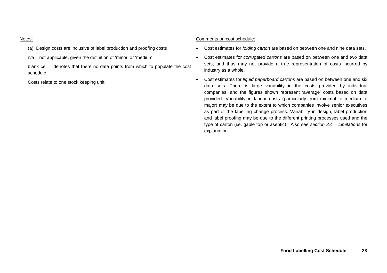#### Notes:

- (a) Design costs are inclusive of label production and proofing costs
- n/a not applicable, given the definition of 'minor' or 'medium'

blank cell – denotes that there no data points from which to populate the cost schedule

Costs relate to one stock keeping unit

#### Comments on cost schedule:

- Cost estimates for *folding carton* are based on between one and nine data sets.
- Cost estimates for *corrugated cartons* are based on between one and two data sets, and thus may not provide a true representation of costs incurred by industry as a whole.
- Cost estimates for *liquid paperboard cartons* are based on between one and six data sets. There is large variability in the costs provided by individual companies, and the figures shown represent 'average' costs based on data provided. Variability in labour costs (particularly from minimal to medium to major) may be due to the extent to which companies involve senior executives as part of the labelling change process. Variability in design, label production and label proofing may be due to the different printing processes used and the type of carton (i.e. gable top or aseptic). Also see *section 3.4 – Limitations* for explanation.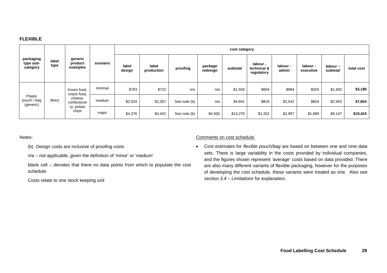### **FLEXIBLE**

|                                     |        |                             |                                |          | cost category   |                     |              |                     |          |                                       |                   |                       |                     |            |
|-------------------------------------|--------|-----------------------------|--------------------------------|----------|-----------------|---------------------|--------------|---------------------|----------|---------------------------------------|-------------------|-----------------------|---------------------|------------|
| packaging<br>type sub-<br>category  |        | label<br>type               | generic<br>product<br>examples | scenario | label<br>design | label<br>production | proofing     | package<br>redesign | subtotal | labour -<br>technical &<br>regulatory | labour -<br>admin | labour -<br>executive | labour-<br>subtotal | total cost |
| Plastic<br>pouch / bag<br>(generic) |        | frozen food,<br>snack food, | minimal                        | \$783    | \$722           | n/a                 | n/a          | \$1,504             | \$604    | \$884                                 | \$204             | \$1,692               | \$3,196             |            |
|                                     | direct | cheese,                     | confectione                    | medium   | \$2,534         | \$2,307             | See note (b) | n/a                 | \$4,841  | \$818                                 | \$1,542           | \$604                 | \$2,963             | \$7,804    |
|                                     |        | ry, potato<br>chips         | major                          | \$4,376  | \$4,401         | See note (b)        | \$4,500      | \$13,276            | \$1,262  | \$2,997                               | \$1,888           | \$6,147               | \$19,424            |            |

Notes:

(b) Design costs are inclusive of proofing costs

n/a – not applicable, given the definition of 'minor' or 'medium'

blank cell – denotes that there no data points from which to populate the cost schedule

Costs relate to one stock keeping unit

# Comments on cost schedule:

 Cost estimates for *flexible pouch/bag* are based on between one and nine data sets. There is large variability in the costs provided by individual companies, and the figures shown represent 'average' costs based on data provided. There are also many different variants of flexible packaging, however for the purposes of developing the cost schedule, these variants were treated as one. Also see *section 3.4 – Limitations* for explanation.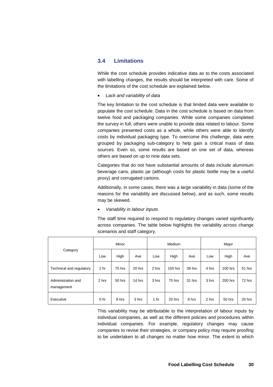# **3.4 Limitations**

While the cost schedule provides indicative data as to the costs associated with labelling changes, the results should be interpreted with care. Some of the limitations of the cost schedule are explained below.

*Lack and variability of data*

The key limitation to the cost schedule is that limited data were available to populate the cost schedule. Data in the cost schedule is based on data from twelve food and packaging companies. While some companies completed the survey in full, others were unable to provide data related to labour. Some companies presented costs as a whole, while others were able to identify costs by individual packaging type. To overcome this challenge, data were grouped by packaging sub-category to help gain a critical mass of data sources. Even so, some results are based on one set of data, whereas others are based on up to nine data sets.

Categories that do not have substantial amounts of data include aluminium beverage cans, plastic jar (although costs for plastic bottle may be a useful proxy) and corrugated cartons.

Additionally, in some cases, there was a large variability in data (some of the reasons for the variability are discussed below), and as such, some results may be skewed.

*Variability in labour inputs*

The staff time required to respond to regulatory changes varied significantly across companies. The table below highlights the variability across change scenarios and staff category.

|                                  |                 | Minor  |        |                 | Medium  |        |       | Major   |        |
|----------------------------------|-----------------|--------|--------|-----------------|---------|--------|-------|---------|--------|
| Category                         | Low             | High   | Ave    | Low             | High    | Ave    | Low   | High    | Ave    |
| Technical and regulatory         | 1 <sub>hr</sub> | 75 hrs | 20 hrs | 2 hrs           | 150 hrs | 39 hrs | 4 hrs | 100 hrs | 51 hrs |
| Administration and<br>management | 2 hrs           | 50 hrs | 14 hrs | 3 hrs           | 75 hrs  | 31 hrs | 3 hrs | 200 hrs | 72 hrs |
| Executive                        | 0 <sub>hr</sub> | 8 hrs  | 3 hrs  | 1 <sub>hr</sub> | 20 hrs  | 8 hrs  | 2 hrs | 50 hrs  | 20 hrs |

This variability may be attributable to the interpretation of labour inputs by individual companies, as well as the different policies and procedures within individual companies. For example, regulatory changes may cause companies to revise their strategies, or company policy may require proofing to be undertaken to all changes no matter how minor. The extent to which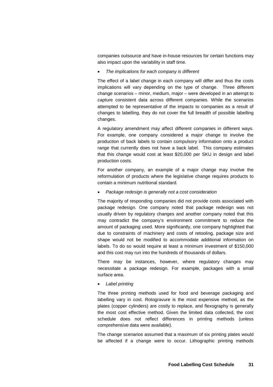companies outsource and have in-house resources for certain functions may also impact upon the variability in staff time.

*The implications for each company is different*

The effect of a label change in each company will differ and thus the costs implications will vary depending on the type of change. Three different change scenarios – minor, medium, major – were developed in an attempt to capture consistent data across different companies. While the scenarios attempted to be representative of the impacts to companies as a result of changes to labelling, they do not cover the full breadth of possible labelling changes.

A regulatory amendment may affect different companies in different ways. For example, one company considered a major change to involve the production of back labels to contain compulsory information onto a product range that currently does not have a back label. This company estimates that this change would cost at least \$20,000 per SKU in design and label production costs.

For another company, an example of a major change may involve the reformulation of products where the legislative change requires products to contain a minimum nutritional standard.

*Package redesign is generally not a cost consideration*

The majority of responding companies did not provide costs associated with package redesign. One company noted that package redesign was not usually driven by regulatory changes and another company noted that this may contradict the company's environment commitment to reduce the amount of packaging used. More significantly, one company highlighted that due to constraints of machinery and costs of retooling, package size and shape would not be modified to accommodate additional information on labels. To do so would require at least a minimum investment of \$150,000 and this cost may run into the hundreds of thousands of dollars.

There may be instances, however, where regulatory changes may necessitate a package redesign. For example, packages with a small surface area.

*Label printing*

The three printing methods used for food and beverage packaging and labelling vary in cost. Rotogravure is the most expensive method, as the plates (copper cylinders) are costly to replace, and flexography is generally the most cost effective method. Given the limited data collected, the cost schedule does not reflect differences in printing methods (unless comprehensive data were available).

The change scenarios assumed that a maximum of six printing plates would be affected if a change were to occur. Lithographic printing methods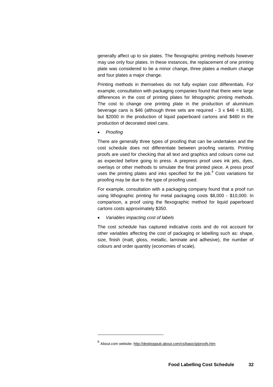generally affect up to six plates. The flexographic printing methods however may use only four plates. In these instances, the replacement of one printing plate was considered to be a minor change, three plates a medium change and four plates a major change.

Printing methods in themselves do not fully explain cost differentials. For example, consultation with packaging companies found that there were large differences in the cost of printing plates for lithographic printing methods. The cost to change one printing plate in the production of aluminium beverage cans is \$46 (although three sets are required -  $3 \times $46 = $138$ ), but \$2000 in the production of liquid paperboard cartons and \$480 in the production of decorated steel cans.

*Proofing*

There are generally three types of proofing that can be undertaken and the cost schedule does not differentiate between proofing variants. Printing proofs are used for checking that all text and graphics and colours come out as expected before going to press. A prepress proof uses ink jets, dyes, overlays or other methods to simulate the final printed piece. A press proof uses the printing plates and inks specified for the job. $8$  Cost variations for proofing may be due to the type of proofing used.

For example, consultation with a packaging company found that a proof run using lithographic printing for metal packaging costs \$8,000 - \$10,000. In comparison, a proof using the flexographic method for liquid paperboard cartons costs approximately \$350.

*Variables impacting cost of labels*

The cost schedule has captured indicative costs and do not account for other variables affecting the cost of packaging or labelling such as: shape, size, finish (matt, gloss, metallic, laminate and adhesive), the number of colours and order quantity (economies of scale).

<sup>&</sup>lt;sup>8</sup> About.com website: http://desktoppub.about.com/cs/basic/g/proofs.htm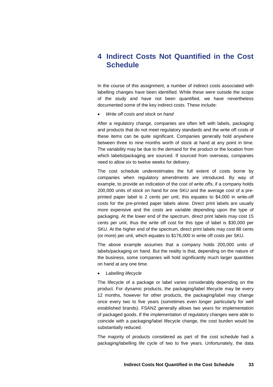# **4 Indirect Costs Not Quantified in the Cost Schedule**

In the course of this assignment, a number of indirect costs associated with labelling changes have been identified. While these were outside the scope of the study and have not been quantified, we have nevertheless documented some of the key indirect costs. These include:

*Write off costs and stock on hand*

After a regulatory change, companies are often left with labels, packaging and products that do not meet regulatory standards and the write off costs of these items can be quite significant. Companies generally hold anywhere between three to nine months worth of stock at hand at any point in time. The variability may be due to the demand for the product or the location from which labels/packaging are sourced. If sourced from overseas, companies need to allow six to twelve weeks for delivery.

The cost schedule underestimates the full extent of costs borne by companies when regulatory amendments are introduced. By way of example, to provide an indication of the cost of write offs, if a company holds 200,000 units of stock on hand for one SKU and the average cost of a preprinted paper label is 2 cents per unit, this equates to \$4,000 in write-off costs for the pre-printed paper labels alone. Direct print labels are usually more expensive and the costs are variable depending upon the type of packaging. At the lower end of the spectrum, direct print labels may cost 15 cents per unit, thus the write off cost for this type of label is \$30,000 per SKU. At the higher end of the spectrum, direct print labels may cost 88 cents (or more) per unit, which equates to \$176,000 in write off costs per SKU.

The above example assumes that a company holds 200,000 units of labels/packaging on hand. But the reality is that, depending on the nature of the business, some companies will hold significantly much larger quantities on hand at any one time.

*Labelling lifecycle*

The lifecycle of a package or label varies considerably depending on the product. For dynamic products, the packaging/label lifecycle may be every 12 months, however for other products, the packaging/label may change once every two to five years (sometimes even longer particularly for well established brands). FSANZ generally allows two years for implementation of packaged goods. If the implementation of regulatory changes were able to coincide with a packaging/label lifecycle change, the cost burden would be substantially reduced.

The majority of products considered as part of the cost schedule had a packaging/labelling life cycle of two to five years. Unfortunately, the data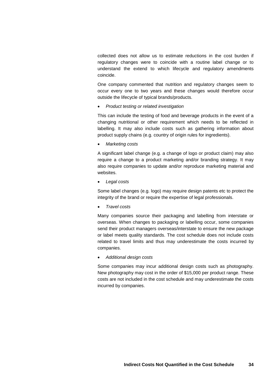collected does not allow us to estimate reductions in the cost burden if regulatory changes were to coincide with a routine label change or to understand the extend to which lifecycle and regulatory amendments coincide.

One company commented that nutrition and regulatory changes seem to occur every one to two years and these changes would therefore occur outside the lifecycle of typical brands/products.

*Product testing or related investigation*

This can include the testing of food and beverage products in the event of a changing nutritional or other requirement which needs to be reflected in labelling. It may also include costs such as gathering information about product supply chains (e.g. country of origin rules for ingredients).

*Marketing costs*

A significant label change (e.g. a change of logo or product claim) may also require a change to a product marketing and/or branding strategy. It may also require companies to update and/or reproduce marketing material and websites.

*Legal costs*

Some label changes (e.g. logo) may require design patents etc to protect the integrity of the brand or require the expertise of legal professionals.

*Travel costs*

Many companies source their packaging and labelling from interstate or overseas. When changes to packaging or labelling occur, some companies send their product managers overseas/interstate to ensure the new package or label meets quality standards. The cost schedule does not include costs related to travel limits and thus may underestimate the costs incurred by companies.

*Additional design costs*

Some companies may incur additional design costs such as photography. New photography may cost in the order of \$15,000 per product range. These costs are not included in the cost schedule and may underestimate the costs incurred by companies.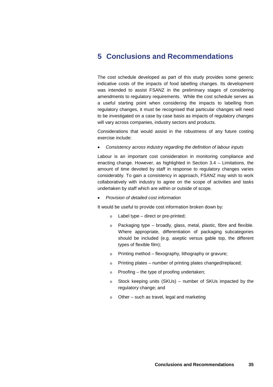# **5 Conclusions and Recommendations**

The cost schedule developed as part of this study provides some generic indicative costs of the impacts of food labelling changes. Its development was intended to assist FSANZ in the preliminary stages of considering amendments to regulatory requirements. While the cost schedule serves as a useful starting point when considering the impacts to labelling from regulatory changes, it must be recognised that particular changes will need to be investigated on a case by case basis as impacts of regulatory changes will vary across companies, industry sectors and products.

Considerations that would assist in the robustness of any future costing exercise include:

*Consistency across industry regarding the definition of labour inputs*

Labour is an important cost consideration in monitoring compliance and enacting change. However, as highlighted in Section 3.4 – Limitations, the amount of time devoted by staff in response to regulatory changes varies considerably. To gain a consistency in approach, FSANZ may wish to work collaboratively with industry to agree on the scope of activities and tasks undertaken by staff which are within or outside of scope.

*Provision of detailed cost information*

It would be useful to provide cost information broken down by:

- $\circ$  Label type direct or pre-printed;
- o Packaging type broadly, glass, metal, plastic, fibre and flexible. Where appropriate, differentiation of packaging subcategories should be included (e.g. aseptic versus gable top, the different types of flexible film);
- o Printing method flexography, lithography or gravure;
- o Printing plates number of printing plates changed/replaced;
- $\circ$  Proofing the type of proofing undertaken:
- o Stock keeping units (SKUs) number of SKUs impacted by the regulatory change; and
- o Other such as travel, legal and marketing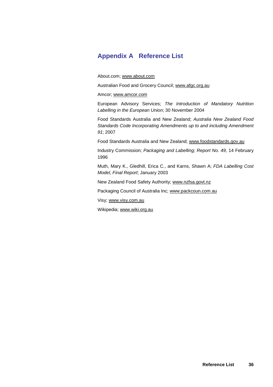# **Appendix A Reference List**

About.com; www.about.com

Australian Food and Grocery Council; www.afgc.org.au

### Amcor; www.amcor.com

European Advisory Services; *The Introduction of Mandatory Nutrition Labelling in the European Union*; 30 November 2004

Food Standards Australia and New Zealand; *Australia New Zealand Food Standards Code Incorporating Amendments up to and including Amendment 91*; 2007

Food Standards Australia and New Zealand; www.foodstandards.gov.au

Industry Commission; *Packaging and Labelling; Report No. 49*, 14 February 1996

Muth, Mary K., Gledhill, Erica C., and Karns, Shawn A; *FDA Labelling Cost Model, Final Report*; January 2003

New Zealand Food Safety Authority; www.nzfsa.govt.nz

Packaging Council of Australia Inc; www.packcoun.com.au

Visy; www.visy.com.au

Wikipedia; www.wiki.org.au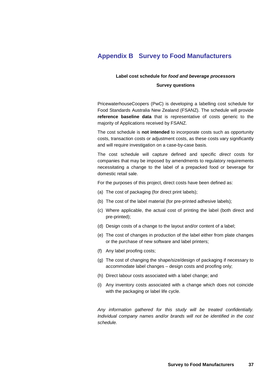# **Appendix B Survey to Food Manufacturers**

# **Label cost schedule for** *food and beverage processors* **Survey questions**

PricewaterhouseCoopers (PwC) is developing a labelling cost schedule for Food Standards Australia New Zealand (FSANZ). The schedule will provide **reference baseline data** that is representative of costs generic to the majority of Applications received by FSANZ.

The cost schedule is **not intended** to incorporate costs such as opportunity costs, transaction costs or adjustment costs, as these costs vary significantly and will require investigation on a case-by-case basis.

The cost schedule will capture defined and specific *direct* costs for companies that may be imposed by amendments to regulatory requirements necessitating a change to the label of a prepacked food or beverage for domestic retail sale.

For the purposes of this project, direct costs have been defined as:

- (a) The cost of packaging (for direct print labels);
- (b) The cost of the label material (for pre-printed adhesive labels);
- (c) Where applicable, the actual cost of printing the label (both direct and pre-printed);
- (d) Design costs of a change to the layout and/or content of a label;
- (e) The cost of changes in production of the label either from plate changes or the purchase of new software and label printers;
- (f) Any label proofing costs;
- (g) The cost of changing the shape/size/design of packaging if necessary to accommodate label changes – design costs and proofing only;
- (h) Direct labour costs associated with a label change; and
- (i) Any inventory costs associated with a change which does not coincide with the packaging or label life cycle.

*Any information gathered for this study will be treated confidentially. Individual company names and/or brands will not be identified in the cost schedule.*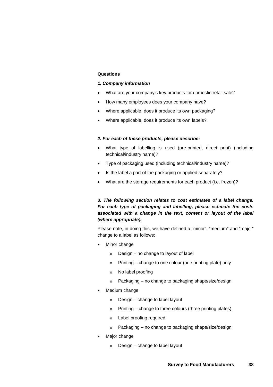### **Questions**

### *1. Company information*

- What are your company's key products for domestic retail sale?
- How many employees does your company have?
- Where applicable, does it produce its own packaging?
- Where applicable, does it produce its own labels?

### *2. For each of these products, please describe:*

- What type of labelling is used (pre-printed, direct print) (including technical/industry name)?
- Type of packaging used (including technical/industry name)?
- Is the label a part of the packaging or applied separately?
- What are the storage requirements for each product (i.e. frozen)?

*3. The following section relates to cost estimates of a label change. For each type of packaging and labelling, please estimate the costs associated with a change in the text, content or layout of the label (where appropriate).*

Please note, in doing this, we have defined a "minor", "medium" and "major" change to a label as follows:

- Minor change
	- $\circ$  Design no change to layout of label
	- $\circ$  Printing change to one colour (one printing plate) only
	- o No label proofing
	- $\circ$  Packaging no change to packaging shape/size/design
- Medium change
	- $\circ$  Design change to label layout
	- o Printing change to three colours (three printing plates)
	- o Label proofing required
	- o Packaging no change to packaging shape/size/design
- Major change
	- $\circ$  Design change to label layout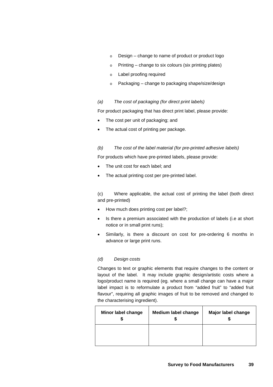- o Design change to name of product or product logo
- o Printing change to six colours (six printing plates)
- o Label proofing required
- $\circ$  Packaging change to packaging shape/size/design

### *(a) The cost of packaging (for direct print labels)*

For product packaging that has direct print label, please provide:

- The cost per unit of packaging; and
- The actual cost of printing per package.

### *(b) The cost of the label material (for pre-printed adhesive labels)*

For products which have pre-printed labels, please provide:

- The unit cost for each label; and
- The actual printing cost per pre-printed label.

(c) Where applicable, the actual cost of printing the label (both direct and pre-printed)

- How much does printing cost per label?;
- Is there a premium associated with the production of labels (i.e at short notice or in small print runs);
- Similarly, is there a discount on cost for pre-ordering 6 months in advance or large print runs.

### *(d) Design costs*

Changes to text or graphic elements that require changes to the content or layout of the label. It may include graphic design/artistic costs where a logo/product name is required (eg. where a small change can have a major label impact is to reformulate a product from "added fruit" to "added fruit flavour", requiring all graphic images of fruit to be removed and changed to the characterising ingredient).

| <b>Minor label change</b> | <b>Medium label change</b> | Major label change |
|---------------------------|----------------------------|--------------------|
|                           |                            |                    |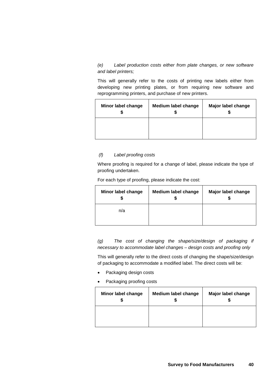*(e) Label production costs either from plate changes, or new software and label printers;*

This will generally refer to the costs of printing new labels either from developing new printing plates, or from requiring new software and reprogramming printers, and purchase of new printers.

| <b>Minor label change</b> | <b>Medium label change</b> | Major label change |
|---------------------------|----------------------------|--------------------|
|                           |                            |                    |

### *(f) Label proofing costs*

Where proofing is required for a change of label, please indicate the type of proofing undertaken.

| <b>Minor label change</b> | <b>Medium label change</b> | Major label change |
|---------------------------|----------------------------|--------------------|
| n/a                       |                            |                    |

For each type of proofing, please indicate the cost:

*(g) The cost of changing the shape/size/design of packaging if necessary to accommodate label changes – design costs and proofing only*

This will generally refer to the direct costs of changing the shape/size/design of packaging to accommodate a modified label. The direct costs will be:

- Packaging design costs
- Packaging proofing costs

| Minor label change | <b>Medium label change</b> | Major label change |
|--------------------|----------------------------|--------------------|
|                    |                            |                    |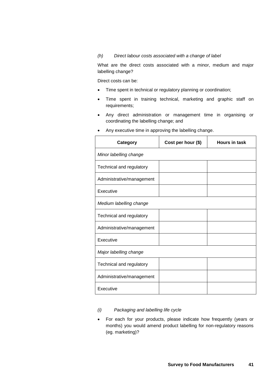*(h) Direct labour costs associated with a change of label*

What are the direct costs associated with a minor, medium and major labelling change?

Direct costs can be:

- Time spent in technical or regulatory planning or coordination;
- Time spent in training technical, marketing and graphic staff on requirements;
- Any direct administration or management time in organising or coordinating the labelling change; and

| Category                  | Cost per hour (\$) | <b>Hours in task</b> |
|---------------------------|--------------------|----------------------|
| Minor labelling change    |                    |                      |
| Technical and regulatory  |                    |                      |
| Administrative/management |                    |                      |
| Executive                 |                    |                      |
| Medium labelling change   |                    |                      |
| Technical and regulatory  |                    |                      |
| Administrative/management |                    |                      |
| Executive                 |                    |                      |
| Major labelling change    |                    |                      |
| Technical and regulatory  |                    |                      |
| Administrative/management |                    |                      |
| Executive                 |                    |                      |

Any executive time in approving the labelling change.

- *(i) Packaging and labelling life cycle*
- For each for your products, please indicate how frequently (years or months) you would amend product labelling for non-regulatory reasons (eg. marketing)?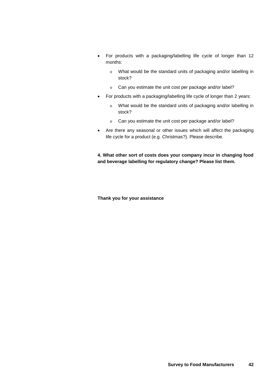- For products with a packaging/labelling life cycle of longer than 12 months:
	- o What would be the standard units of packaging and/or labelling in stock?
	- o Can you estimate the unit cost per package and/or label?
- For products with a packaging/labelling life cycle of longer than 2 years:
	- o What would be the standard units of packaging and/or labelling in stock?
	- o Can you estimate the unit cost per package and/or label?
- Are there any seasonal or other issues which will affect the packaging life cycle for a product (e.g. Christmas?). Please describe.

**4. What other sort of costs does your company incur in changing food and beverage labelling for regulatory change? Please list them.**

**Thank you for your assistance**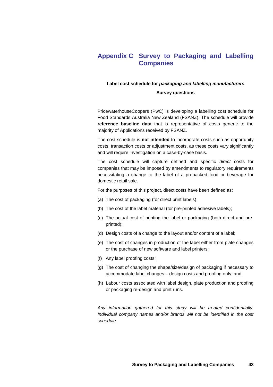# **Appendix C Survey to Packaging and Labelling Companies**

### **Label cost schedule for** *packaging and labelling manufacturers*

#### **Survey questions**

PricewaterhouseCoopers (PwC) is developing a labelling cost schedule for Food Standards Australia New Zealand (FSANZ). The schedule will provide **reference baseline data** that is representative of costs generic to the majority of Applications received by FSANZ.

The cost schedule is **not intended** to incorporate costs such as opportunity costs, transaction costs or adjustment costs, as these costs vary significantly and will require investigation on a case-by-case basis.

The cost schedule will capture defined and specific *direct* costs for companies that may be imposed by amendments to regulatory requirements necessitating a change to the label of a prepacked food or beverage for domestic retail sale.

For the purposes of this project, direct costs have been defined as:

- (a) The cost of packaging (for direct print labels);
- (b) The cost of the label material (for pre-printed adhesive labels);
- (c) The actual cost of printing the label or packaging (both direct and preprinted);
- (d) Design costs of a change to the layout and/or content of a label;
- (e) The cost of changes in production of the label either from plate changes or the purchase of new software and label printers;
- (f) Any label proofing costs;
- (g) The cost of changing the shape/size/design of packaging if necessary to accommodate label changes – design costs and proofing only; and
- (h) Labour costs associated with label design, plate production and proofing or packaging re-design and print runs.

*Any information gathered for this study will be treated confidentially. Individual company names and/or brands will not be identified in the cost schedule.*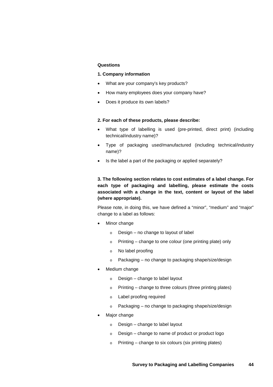### **Questions**

### **1. Company information**

- What are your company's key products?
- How many employees does your company have?
- Does it produce its own labels?

#### **2. For each of these products, please describe:**

- What type of labelling is used (pre-printed, direct print) (including technical/industry name)?
- Type of packaging used/manufactured (including technical/industry name)?
- Is the label a part of the packaging or applied separately?

**3. The following section relates to cost estimates of a label change. For each type of packaging and labelling, please estimate the costs associated with a change in the text, content or layout of the label (where appropriate).**

Please note, in doing this, we have defined a "minor", "medium" and "major" change to a label as follows:

- Minor change
	- o Design no change to layout of label
	- o Printing change to one colour (one printing plate) only
	- o No label proofing
	- o Packaging no change to packaging shape/size/design
- Medium change
	- $\circ$  Design change to label layout
	- o Printing change to three colours (three printing plates)
	- o Label proofing required
	- o Packaging no change to packaging shape/size/design
- Major change
	- $\circ$  Design change to label layout
	- $\circ$  Design change to name of product or product logo
	- $\circ$  Printing change to six colours (six printing plates)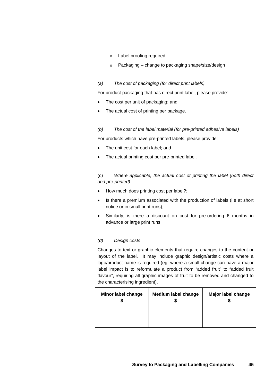### o Label proofing required

o Packaging – change to packaging shape/size/design

### *(a) The cost of packaging (for direct print labels)*

For product packaging that has direct print label, please provide:

- The cost per unit of packaging; and
- The actual cost of printing per package.

### *(b) The cost of the label material (for pre-printed adhesive labels)*

For products which have pre-printed labels, please provide:

- The unit cost for each label; and
- The actual printing cost per pre-printed label.

(c) *Where applicable, the actual cost of printing the label (both direct and pre-printed)*

- How much does printing cost per label?;
- Is there a premium associated with the production of labels (i.e at short notice or in small print runs);
- Similarly, is there a discount on cost for pre-ordering 6 months in advance or large print runs.

### *(d) Design costs*

Changes to text or graphic elements that require changes to the content or layout of the label. It may include graphic design/artistic costs where a logo/product name is required (eg. where a small change can have a major label impact is to reformulate a product from "added fruit" to "added fruit flavour", requiring all graphic images of fruit to be removed and changed to the characterising ingredient).

| <b>Minor label change</b> | <b>Medium label change</b> | Major label change |
|---------------------------|----------------------------|--------------------|
|                           |                            |                    |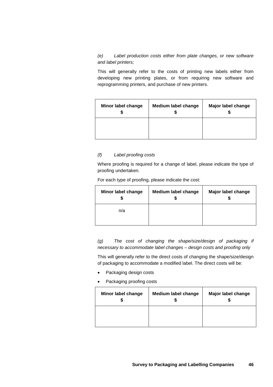*(e) Label production costs either from plate changes, or new software and label printers;*

This will generally refer to the costs of printing new labels either from developing new printing plates, or from requiring new software and reprogramming printers, and purchase of new printers.

| Minor label change | <b>Medium label change</b> | Major label change |
|--------------------|----------------------------|--------------------|
|                    |                            |                    |

### *(f) Label proofing costs*

Where proofing is required for a change of label, please indicate the type of proofing undertaken.

| <b>Minor label change</b> | <b>Medium label change</b> | Major label change |
|---------------------------|----------------------------|--------------------|
| n/a                       |                            |                    |

For each type of proofing, please indicate the cost:

*(g) The cost of changing the shape/size/design of packaging if necessary to accommodate label changes – design costs and proofing only*

This will generally refer to the direct costs of changing the shape/size/design of packaging to accommodate a modified label. The direct costs will be:

- Packaging design costs
- Packaging proofing costs

| Minor label change | <b>Medium label change</b> | Major label change |
|--------------------|----------------------------|--------------------|
|                    |                            |                    |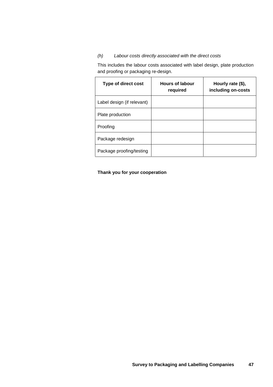### *(h) Labour costs directly associated with the direct costs*

This includes the labour costs associated with label design, plate production and proofing or packaging re-design.

| Type of direct cost        | <b>Hours of labour</b><br>required | Hourly rate (\$),<br>including on-costs |
|----------------------------|------------------------------------|-----------------------------------------|
| Label design (if relevant) |                                    |                                         |
| Plate production           |                                    |                                         |
| Proofing                   |                                    |                                         |
| Package redesign           |                                    |                                         |
| Package proofing/testing   |                                    |                                         |

**Thank you for your cooperation**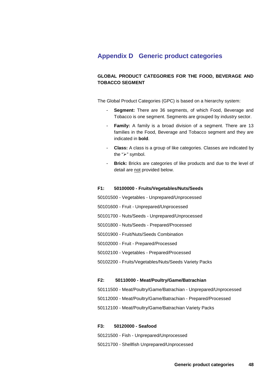# **Appendix D Generic product categories**

### **GLOBAL PRODUCT CATEGORIES FOR THE FOOD, BEVERAGE AND TOBACCO SEGMENT**

The Global Product Categories (GPC) is based on a hierarchy system:

- Segment: There are 36 segments, of which Food, Beverage and Tobacco is one segment. Segments are grouped by industry sector.
- **Family:** A family is a broad division of a segment. There are 13 families in the Food, Beverage and Tobacco segment and they are indicated in **bold**.
- **Class:** A class is a group of like categories. Classes are indicated by the " $\triangleright$ " symbol.
- **Brick:** Bricks are categories of like products and due to the level of detail are not provided below.

### **F1: 50100000 - Fruits/Vegetables/Nuts/Seeds**

50101500 - Vegetables - Unprepared/Unprocessed

- 50101600 Fruit Unprepared/Unprocessed
- 50101700 Nuts/Seeds Unprepared/Unprocessed
- 50101800 Nuts/Seeds Prepared/Processed
- 50101900 Fruit/Nuts/Seeds Combination
- 50102000 Fruit Prepared/Processed
- 50102100 Vegetables Prepared/Processed
- 50102200 Fruits/Vegetables/Nuts/Seeds Variety Packs

### **F2: 50110000 - Meat/Poultry/Game/Batrachian**

50111500 - Meat/Poultry/Game/Batrachian - Unprepared/Unprocessed

- 50112000 Meat/Poultry/Game/Batrachian Prepared/Processed
- 50112100 Meat/Poultry/Game/Batrachian Variety Packs

#### **F3: 50120000 - Seafood**

50121500 - Fish - Unprepared/Unprocessed 50121700 - Shellfish Unprepared/Unprocessed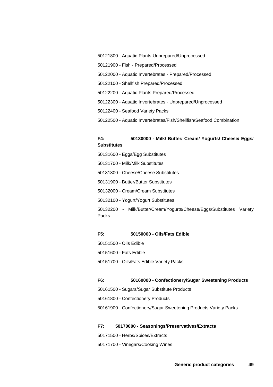| 50121800 - Aquatic Plants Unprepared/Unprocessed          |
|-----------------------------------------------------------|
| 50121900 - Fish - Prepared/Processed                      |
| 50122000 - Aquatic Invertebrates - Prepared/Processed     |
| 50122100 - Shellfish Prepared/Processed                   |
| 50122200 - Aquatic Plants Prepared/Processed              |
| 50122300 - Aquatic Invertebrates - Unprepared/Unprocessed |
| 50122400 - Seafood Variety Packs                          |
|                                                           |

- Aquatic Invertebrates/Fish/Shellfish/Seafood Combination

# **F4: 50130000 - Milk/ Butter/ Cream/ Yogurts/ Cheese/ Eggs/ Substitutes**

- Eggs/Egg Substitutes
- Milk/Milk Substitutes
- Cheese/Cheese Substitutes
- Butter/Butter Substitutes
- Cream/Cream Substitutes
- Yogurt/Yogurt Substitutes

 - Milk/Butter/Cream/Yogurts/Cheese/Eggs/Substitutes Variety Packs

### **F5: 50150000 - Oils/Fats Edible**

- Oils Edible
- Fats Edible
- Oils/Fats Edible Variety Packs

### **F6: 50160000 - Confectionery/Sugar Sweetening Products**

- Sugars/Sugar Substitute Products
- Confectionery Products
- Confectionery/Sugar Sweetening Products Variety Packs

### **F7: 50170000 - Seasonings/Preservatives/Extracts**

- Herbs/Spices/Extracts
- Vinegars/Cooking Wines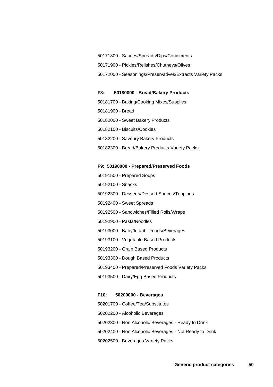- Sauces/Spreads/Dips/Condiments - Pickles/Relishes/Chutneys/Olives - Seasonings/Preservatives/Extracts Variety Packs

### **F8: 50180000 - Bread/Bakery Products**

 - Baking/Cooking Mixes/Supplies - Bread - Sweet Bakery Products - Biscuits/Cookies - Savoury Bakery Products - Bread/Bakery Products Variety Packs

#### **F9: 50190000 - Prepared/Preserved Foods**

- Prepared Soups
- Snacks
- Desserts/Dessert Sauces/Toppings
- Sweet Spreads
- Sandwiches/Filled Rolls/Wraps
- Pasta/Noodles
- Baby/Infant Foods/Beverages
- Vegetable Based Products
- Grain Based Products
- Dough Based Products
- Prepared/Preserved Foods Variety Packs
- Dairy/Egg Based Products

#### **F10: 50200000 - Beverages**

 - Coffee/Tea/Substitutes - Alcoholic Beverages - Non Alcoholic Beverages - Ready to Drink - Non Alcoholic Beverages - Not Ready to Drink - Beverages Variety Packs